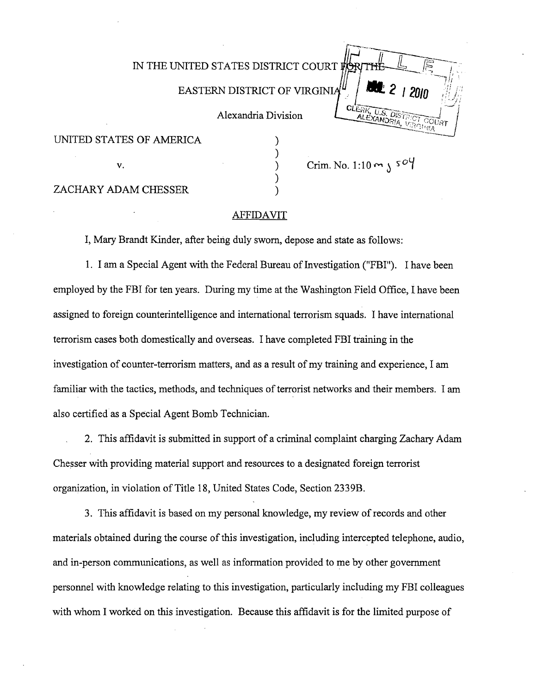|                          | IN THE UNITED STATES DISTRICT COURT ⊯<br>12010<br>EASTERN DISTRICT OF VIRGINIA"<br>CLERK |
|--------------------------|------------------------------------------------------------------------------------------|
|                          | , U.S. DISTRICT COURT<br>Alexandria Division<br>ALEXANDRIA                               |
| UNITED STATES OF AMERICA |                                                                                          |
| v.                       | Crim. No. 1:10 $m \surd$ s <sup>o</sup> Y                                                |
| ZACHARY ADAM CHESSER     |                                                                                          |

#### AFFIDAVIT

I, Mary Brandt Kinder, after being duly sworn, depose and state as follows:

1. I am a Special Agent with the Federal Bureau of Investigation ("FBI"). I have been employed by the FBI for ten years. During my time at the Washington Field Office, I have been assigned to foreign counterintelligence and international terrorism squads. I have international terrorism cases both domestically and overseas. I have completed FBI training in the investigation of counter-terrorism matters, and as a result of my training and experience, I am familiar with the tactics, methods, and techniques of terrorist networks and their members. I am also certified as a Special Agent Bomb Technician.

2. This affidavit is submitted in support of a criminal complaint charging Zachary Adam Chesser with providing material support and resources to a designated foreign terrorist organization, in violation of Title 18, United States Code, Section 2339B.

3. This affidavit is based on my personal knowledge, my review of records and other materials obtained during the course of this investigation, including intercepted telephone, audio, and in-person communications, as well as information provided to me by other government personnel with knowledge relating to this investigation, particularly including my FBI colleagues with whom I worked on this investigation. Because this affidavit is for the limited purpose of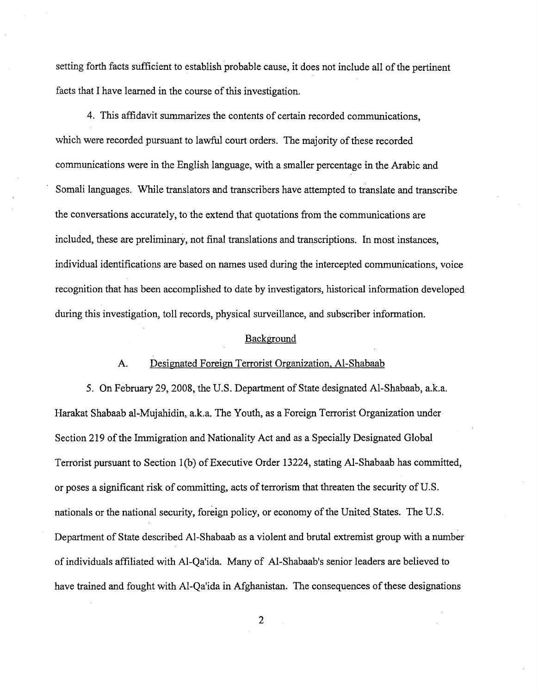setting forth facts sufficient to establish probable cause, it does not include all of the pertinent facts that I have learned in the course of this investigation.

4. This affidavit summarizes the contents of certain recorded communications, which were recorded pursuant to lawful court orders. The majority of these recorded communications were in the English language, with a smaller percentage in the Arabic and Somali languages. While translators and transcribers have attempted to translate and transcribe the conversations accurately, to the extend that quotations from the communications are included, these are preliminary, not final translations and transcriptions. In most instances, individual identifications are based on names used during the intercepted communications, voice recognition that has been accomplished to date by investigators, historical information developed during this investigation, toll records, physical surveillance, and subscriber information.

#### Background

### A. Designated Foreign Terrorist Organization, AI-Shabaab

5. On February 29,2008, the U.S. Department of State designated AI-Shabaab, a.k.a. Barakat Shabaab al-Mujahidin, a.k.a. The Youth, as a Foreign Terrorist Organization under Section 219 of the Immigration and Nationality Act and as a Specially Designated Global Terrorist pursuant to Section 1 (b) of Executive Order 13224, stating AI-Shabaab has committed, or poses a significant risk of committing, acts of terrorism that threaten the security of U.S. nationals or the national security, foreign policy, or economy of the United States. The U.S. Department of State described AI-Shabaab as a violent and brutal extremist group with a number of individuals affiliated with AI-Qa'ida. Many of AI-Shabaab's senior leaders are believed to have trained and fought with AI-Qa'ida in Afghanistan. The consequences of these designations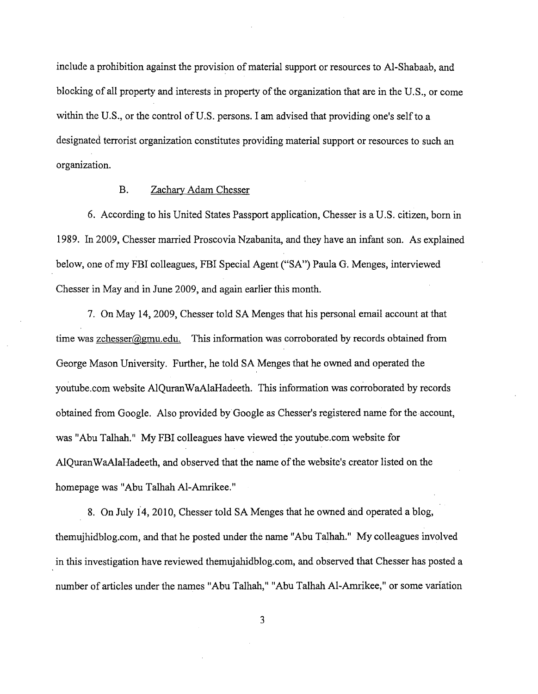include a prohibition against the provision of material support or resources to Al-Shabaab, and blocking of all property and interests in property of the organization that are in the U.S., or come within the U.S., or the control of U.S. persons. I am advised that providing one's self to a designated terrorist organization constitutes providing material support or resources to such an organization.

# B. Zachary Adam Chesser

6. According to his United States Passport application, Chesser is a U.S. citizen, born in 1989. In 2009, Chesser married Proscovia Nzabanita, and they have an infant son. As explained below, one of my FBI colleagues, FBI Special Agent ("SA") Paula G. Menges, interviewed Chesser in May and in June 2009, and again earlier this month.

7. On May 14,2009, Chesser told SA Menges that his personal email account at that time was zchesser@gmu.edu. This information was corroborated by records obtained from George Mason University. Further, he told SA Menges that he owned and operated the youtube.com website AlQuran WaAlaHadeeth. This information was corroborated by records obtained from Google. Also provided by Google as Chesser's registered name for the account, was "Abu Talhah." My FBI colleagues have viewed the youtube.com website for AlQuranWaAlaHadeeth, and observed that the name of the website's creator listed on the homepage was "Abu Talhah Al-Amrikee."

8. On July 14, 2010, Chesser told SA Menges that he owned and operated a blog, themujhidblog.com, and that he posted under the name "Abu Talhah." My colleagues involved in this investigation have reviewed themujahidblog.com, and observed that Chesser has posted a number of articles under the names "Abu Talhah," "Abu Talhah AI-Amrikee," or some variation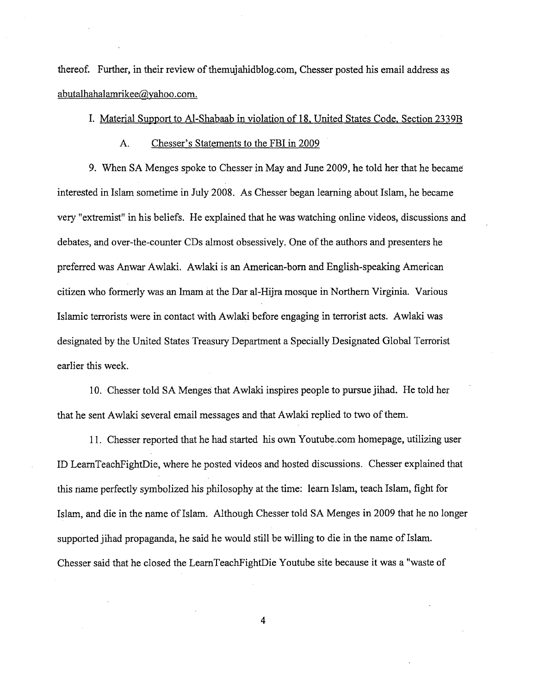thereof. Further, in their review of themujahidblog.com, Chesser posted his email address as abutalhahalamrikee@yahoo.com.

## I. Material Support to Al-Shabaab in violation of 18, United States Code, Section 2339B

A. Chesser's Statements to the FBI in 2009

9. When SA Menges spoke to Chesser in May and June 2009, he told her that he became interested in Islam sometime in July 2008. As Chesser began learning about Islam, he became very "extremist" in his beliefs. He explained that he was watching online videos, discussions and debates, and over-the-counter CDs almost obsessively. One of the authors and presenters he preferred was Anwar Awlaki. Awlaki is an American-born and English-speaking American citizen who formerly was an Imam at the Dar al-Hijra mosque in Northern Virginia. Various Islamic terrorists were in contact with Awlaki before engaging in terrorist acts. A wlaki was designated by the United States Treasury Department a Specially Designated Global Terrorist earlier this week.

10. Chesser told SA Menges that Awlaki inspires people to pursue jihad. He told her that he sent Awlaki several email messages and that Awlaki replied to two of them.

11. Chesser reported that he had started his own Y outube.com homepage, utilizing user ID LeamTeachFightDie, where he posted videos and hosted discussions. Chesser explained that this name perfectly symbolized his philosophy at the time: learn Islam, teach Islam, fight for Islam, and die in the name of Islam. Although Chesser told SA Menges in 2009 that he no longer supported jihad propaganda, he said he would still be willing to die in the name of Islam. Chesser said that he closed the LearnTeachFightDie Youtube site because it was a "waste of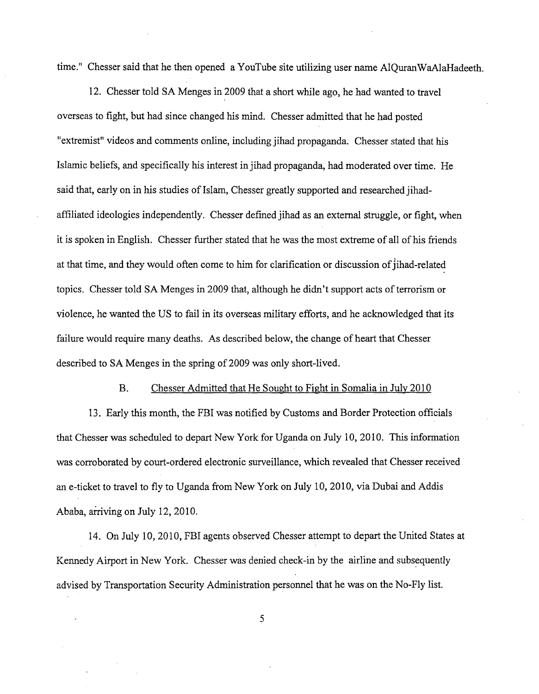time." Chesser said that he then opened a YouTube site utilizing user name AIQuranWaAlaHadeeth.

12. Chesser told SA Menges in 2009 that a short while ago, he had wanted to travel overseas to fight, but had since changed his mind. Chesser admitted that he had posted "extremist" videos and comments online, including jihad propaganda. Chesser stated that his Islamic beliefs, and specifically his interest in jihad propaganda, had moderated over time. He said that, early on in his studies of Islam, Chesser greatly supported and researched jihadaffiliated ideologies independently. Chesser defined jihad as an external struggle, or fight, when it is spoken in English. Chesser further stated that he was the most extreme of all of his friends at that time, and they would often come to him for clarification or discussion of jihad-related topics. Chesser told SA Menges in 2009 that, although he didn't support acts of terrorism or violence, he wanted the US to fail in its overseas military efforts, and he acknowledged that its failure would require many deaths. As described below, the change of heart that Chesser described to SA Menges in the spring of 2009 was only short-lived.

B. Chesser Admitted that He Sought to Fight in Somalia in July 2010

13. Early this month, the FBI was notified by Customs and Border Protection officials that Chesser was scheduled to depart New York for Uganda on July 10, 2010. This information was corroborated by court-ordered electronic surveillance, which revealed that Chesser received an e-ticket to travel to fly to Uganda from New York on July 10,2010, via Dubai and Addis Ababa, arriving on July 12,2010.

14. On July 10,2010, FBI agents observed Chesser attempt to depart the United States at Kennedy Airport in New York. Chesser was denied check-in by the airline and subsequently advised by Transportation Security Administration personnel that he was on the No-Fly list.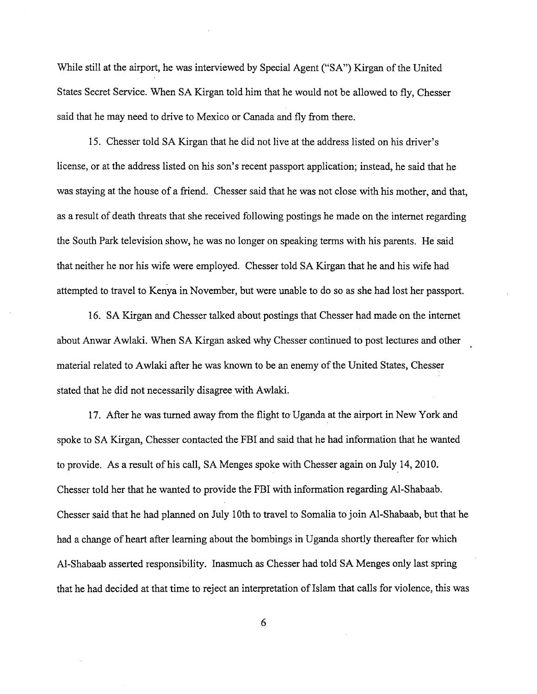While still at the airport, he was interviewed by Special Agent ("SA") Kirgan of the United States Secret Service. When SA Kirgan told him that he would not be allowed to fly, Chesser said that he may need to drive to Mexico or Canada and fly from there.

15. Chesser told SA Kirgan that he did not live at the address listed on his driver's license, or at the address listed on his son's recent passport application; instead, he said that he was staying at the house of a friend. Chesser said that he was not close with his mother, and that, as a result of death threats that she received following postings he made on the internet regarding the South Park television show, he was no longer on speaking terms with his parents. He said that neither he nor his wife were employed. Chesser told SA Kirgan that he and his wife had attempted to travel to Kenya in November, but were unable to do so as she had lost her passport.

16. SA Kirgan and Chesser talked about postings that Chesser had made on the internet about Anwar Awlaki. When SA Kirgan asked why Chesser continued to post lectures and other material related to Awlaki after he was known to be an enemy of the United States, Chesser stated that he did not necessarily disagree with Awlaki.

17. After he was turned away from the flight to' Uganda at the airport in New York and spoke to SA Kirgan, Chesser contacted the FBI and said that he had information that he wanted to provide. As a result of his call, SA Menges spoke with Chesser again on July 14,2010. Chesser told her that he wanted to provide the FBI with information regarding AI-Shabaab. Chesser said that he had planned on July 10th to travel to Somalia to join AI-Shabaab, but that he had a change of heart after learning about the bombings in Uganda shortly thereafter for which AI-Shabaab asserted responsibility. Inasmuch as Chesser had told SA Menges only last spring that he had decided at that time to reject an interpretation of Islam that calls for violence, this was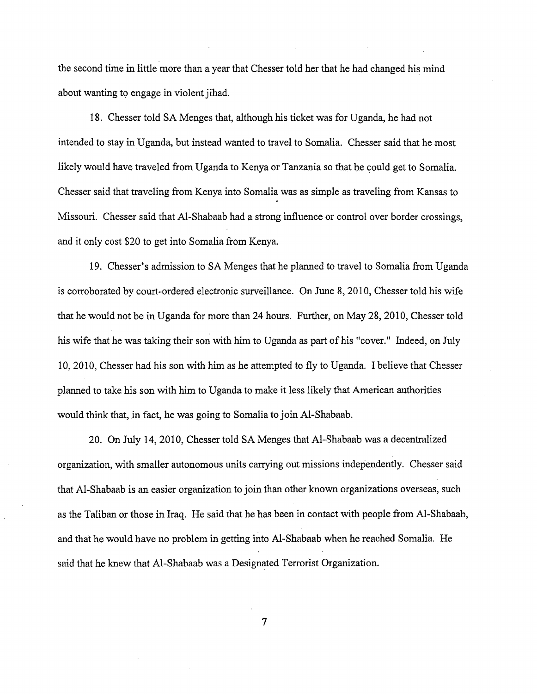the second time in little more than a year that Chesser told her that he had changed his mind about wanting to engage in violent jihad.

18. Chesser told SA Menges that, although his ticket was for Uganda, he had not intended to stay in Uganda, but instead wanted to travel to Somalia. Chesser said that he most likely would have traveled from Uganda to Kenya or Tanzania so that he could get to Somalia. Chesser said that traveling from Kenya into Somalia was as simple as traveling from Kansas to Missouri. Chesser said that Al-Shabaab had a strong influence or control over border crossings, and it only cost \$20 to get into Somalia from Kenya.

19. Chesser's admission to SA Menges that he planned to travel to Somalia from Uganda is corroborated by court-ordered electronic surveillance. On June 8, 2010, Chesser told his wife that he would not be in Uganda for more than 24 hours. Further, on May 28,2010, Chesser told his wife that he was taking their son with him to Uganda as part of his "cover." Indeed, on July 10,2010, Chesser had his son with him as he attempted to fly to Uganda. I believe that Chesser planned to take his son with him to Uganda to make it less likely that American authorities would think that, in fact, he was going to Somalia to join AI-Shabaab.

20. On July 14,2010, Chesser told SA Menges that AI-Shabaab was a decentralized organization, with smaller autonomous units carrying out missions independently. Chesser said that AI-Shabaab is an easier organization to join than other known organizations overseas, such as the Taliban or those in Iraq. He said that he has been in contact with people from AI-Shabaab, and that he would have no problem in getting into Al-Shabaab when he reached Somalia. He said that he knew that AI-Shabaab was a Designated Terrorist Organization.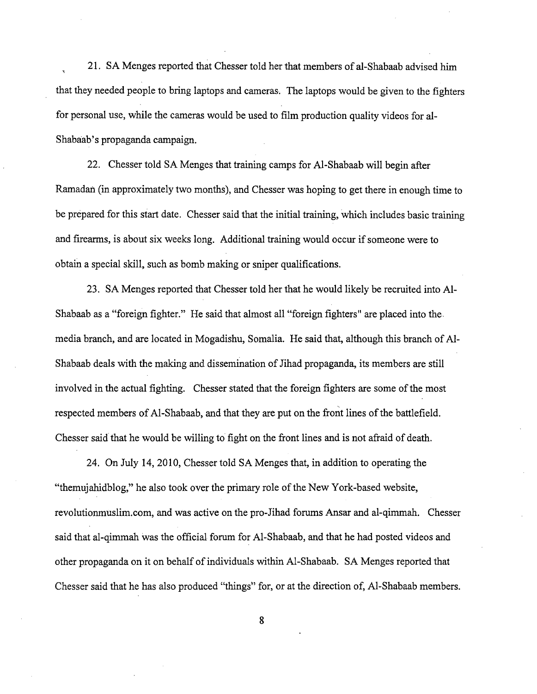21. SA Menges reported that Chesser told her that members of al-Shabaab advised him that they needed people to bring laptops and cameras. The laptops would be given to the fighters for personal use, while the cameras would be used to film production quality videos for al-Shabaab's propaganda campaign.

22. Chesser told SA Menges that training camps for AI-Shabaab will begin after Ramadan (in approximately two months), and Chesser was hoping to get there in enough time to be prepared for this start date. Chesser said that the initial training, which includes basic training and firearms, is about six weeks long. Additional training would occur if someone were to obtain a special skill, such as bomb making or sniper qualifications.

23. SA Menges reported that Chesser told her that he would likely be recruited into AI-Shabaab as a "foreign fighter." He said that almost all "foreign fighters" are placed into the media branch, and are located in Mogadishu, Somalia. He said that, although this branch of AI-Shabaab deals with the making and dissemination of Jihad propaganda, its members are still involved in the actual fighting. Chesser stated that the foreign fighters are some of the most respected members of AI-Shabaab, and that they are put on the front lines of the battlefield. Chesser said that he would be willing to fight on the front lines and is not afraid of death.

24. On July 14,2010, Chesser told SA Menges that, in addition to operating the "themujahidblog," he also took over the primary role of the New York-based website, revolutionmuslim.com, and was active on the pro-Jihad forums Ansar and al-qimmah. Chesser said that al-qimmah was the official forum for AI-Shabaab, and that he had posted videos and other propaganda on it on behalf of individuals within AI-Shabaab. SA Menges reported that Chesser said that he has also produced "things" for, or at the direction of, AI-Shabaab members.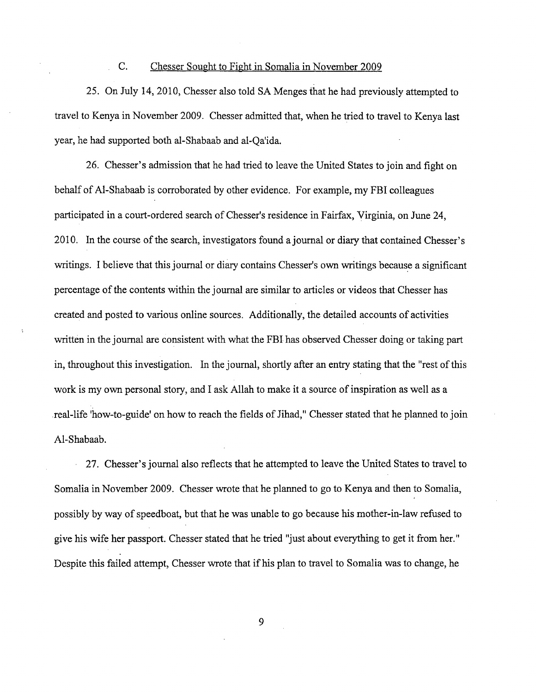## C. Chesser Sought to Fight in Somalia in November 2009

 $\mathbf{r}$ 

25. On July 14,2010, Chesser also told SA Menges that he had previously attempted to travel to Kenya in November 2009. Chesser admitted that, when he tried to travel to Kenya last year, he had supported both al-Shabaab and al-Qa'ida.

26. Chesser's admission that he had tried to leave the United States to join and fight on behalf of AI-Shabaab is corroborated by other evidence. For example, my FBI colleagues participated in a court-ordered search of Chesser's residence in Fairfax, Virginia, on June 24, 2010. In the course of the search, investigators found a journal or diary that contained Chesser's writings. I believe that this journal or diary contains Chesser's own writings because a significant percentage of the contents within the journal are similar to articles or videos that Chesser has created and posted to various online sources. Additionally, the detailed accounts of activities written in the journal are consistent with what the FBI has observed Chesser doing or taking part in, throughout this investigation. In the journal, shortly after an entry stating that the "rest of this work is my own personal story, and I ask Allah to make it a source of inspiration as well as a real-life 'how-to-guide' on how to reach the fields of Jihad," Chesser stated that he planned to join AI-Shabaab.

27. Chesser's journal also reflects that he attempted to leave the United States to travel to Somalia in November 2009. Chesser wrote that he planned to go to Kenya and then to Somalia, possibly by way of speedboat, but that he was unable to go because his mother-in-law refused to give his wife her passport. Chesser stated that he tried "just about everything to get it from her." Despite this failed attempt, Chesser wrote that if his plan to travel to Somalia was to change, he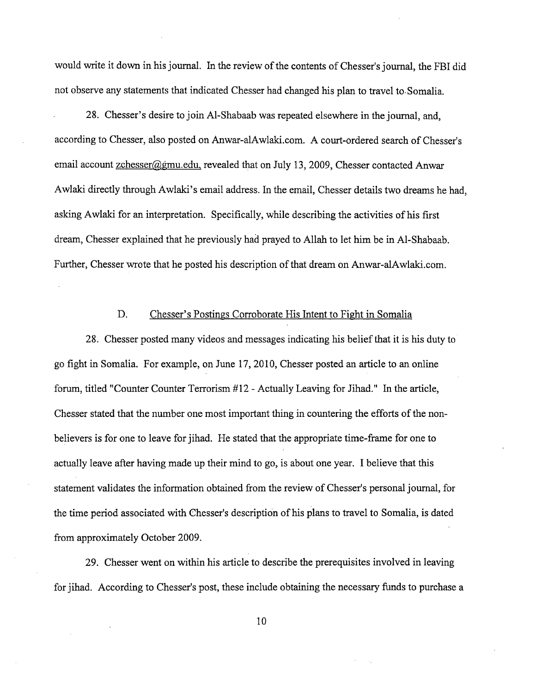would write it down in his journal. In the review of the contents of Chesser's journal, the FBI did not observe any statements that indicated Chesser had changed his plan to travel to· Somalia.

28. Chesser's desire to join AI-Shabaab was repeated elsewhere in the journal, and, according to Chesser, also posted on Anwar-aIAwlaki.com. A court-ordered search of Chesser's email account zchesser@gmu.edu, revealed that on July 13, 2009, Chesser contacted Anwar Awlaki directly through Awlaki's email address. In the email, Chesser details two dreams he had, asking Awlaki for an interpretation. Specifically, while describing the activities of his first dream, Chesser explained that he previously had prayed to Allah to let him be in AI-Shabaab. Further, Chesser wrote that he posted his description of that dream on Anwar-alAwlaki.com.

## D. Chesser's Postings Corroborate His Intent to Fight in Somalia

28. Chesser posted many videos and messages indicating his belief that it is his duty to go fight in Somalia. For example, on June 17,2010, Chesser posted an article to an online forum, titled "Counter Counter Terrorism #12 - Actually Leaving for Jihad." In the article, Chesser stated that the number one most important thing in countering the efforts of the nonbelievers is for one to leave for jihad. He stated that the appropriate time-frame for one to actually leave after having made up their mind to go, is about one year. I believe that this statement validates the information obtained from the review of Chesser's personal journal, for the time period associated with Chesser's description of his plans to travel to Somalia, is dated from approximately October 2009.

29. Chesser went on within his article to describe the prerequisites involved in leaving for jihad. According to Chesser's post, these include obtaining the necessary funds to purchase a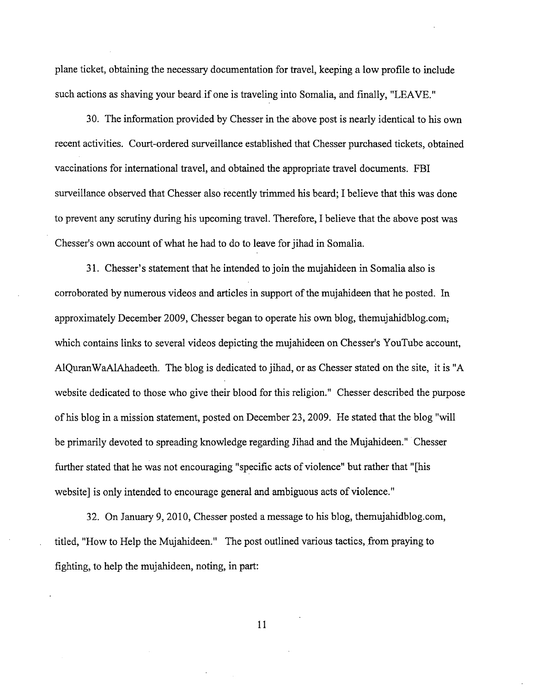plane ticket, obtaining the necessary documentation for travel, keeping a low profile to include such actions as shaving your beard if one is traveling into Somalia, and finally, "LEAVE."

30. The information provided by Chesser in the above post is nearly identical to his own recent activities. Court-ordered surveillance established that Chesser purchased tickets, obtained vaccinations for international travel, and obtained the appropriate travel documents. FBI surveillance observed that Chesser also recently trimmed his beard; I believe that this was done to prevent any scrutiny during his upcoming travel. Therefore, I believe that the above post was Chesser's own account of what he had to do to leave for jihad in Somalia.

31. Chesser's statement that he intended to join the mujahideen in Somalia also is corroborated by numerous videos and articles in support of the mujahideen that he posted. In approximately December 2009, Chesser began to operate his own blog, themujahidblog.com; which contains links to several videos depicting the mujahideen on Chesser's YouTube account, AIQuranWaAIAhadeeth. The blog is dedicated to jihad, or as Chesser stated on the site, it is "A website dedicated to those who give their blood for this religion." Chesser described the purpose of his blog in a mission statement, posted on December 23,2009. He stated that the blog "will be primarily devoted to spreading knowledge regarding Jihad and the Mujahideen." Chesser further stated that he was not encouraging "specific acts of violence" but rather that "[his website] is only intended to encourage general and ambiguous acts of violence."

32. On January 9, 2010, Chesser posted a message to his blog, themujahidblog.com, titled, "How to Help the Mujahideen." The post outlined various tactics, from praying to fighting, to help the mujahideen, noting, in part: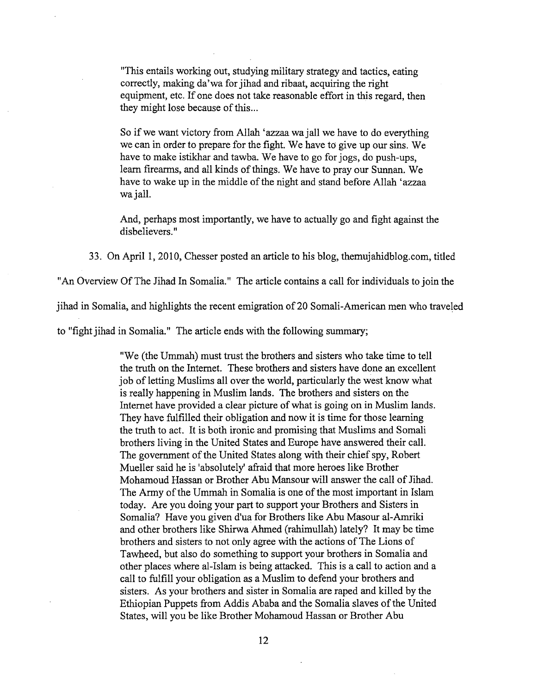"This entails working out, studying military strategy and tactics, eating correctly, making da'wa for jihad and ribaat, acquiring the right equipment, etc. If one does not take reasonable effort in this regard, then they might lose because of this...

So if we want victory from Allah 'azzaa wa jall we have to do everything we can in order to prepare for the fight. We have to give up our sins. We have to make istikhar and tawba. We have to go for jogs, do push-ups, learn firearms, and all kinds of things. We have to pray our Sunnan. We have to wake up in the middle of the night and stand before Allah 'azzaa wa jall.

And, perhaps most importantly, we have to actually go and fight against the disbelievers. "

33. On April 1, 2010, Chesser posted an article to his blog, themujahidblog.com, titled

"An Overview Of The Jihad In Somalia." The article contains a call for individuals to join the

jihad in Somalia, and highlights the recent emigration of 20 Somali-American men who traveled

to "fight jihad in Somalia." The article ends with the following summary;

"We (the Ummah) must trust the brothers and sisters who take time to tell the truth on the Internet. These brothers and sisters have done an excellent job of letting Muslims all over the world, particularly the west know what is really happening in Muslim lands. The brothers and sisters on the Internet have provided a clear picture of what is going on in Muslim lands. They have fulfilled their obligation and now it is time for those learning the truth to act. It is both ironic and promising that Muslims and Somali brothers living in the United States and Europe have answered their call. The government of the United States along with their chief spy, Robert Mueller said he is 'absolutely' afraid that more heroes like Brother Mohamoud Hassan or Brother Abu Mansour will answer the call of Jihad. The Army of the Ummah in Somalia is one of the most important in Islam today. Are you doing your part to support your Brothers and Sisters in Somalia? Have you given d'ua for Brothers like Abu Masour al-Amriki and other brothers like Shirwa Ahmed (rahimullah) lately? It may be time brothers and sisters to not only agree with the actions of The Lions of Tawheed, but also do something to support your brothers in Somalia and other places where aI-Islam is being attacked. This is a call to action and a call to fulfill your obligation as a Muslim to defend your brothers and sisters. As your brothers and sister in Somalia are raped and killed by the Ethiopian Puppets from Addis Ababa and the Somalia slaves of the United States, will you be like Brother Mohamoud Hassan or Brother Abu